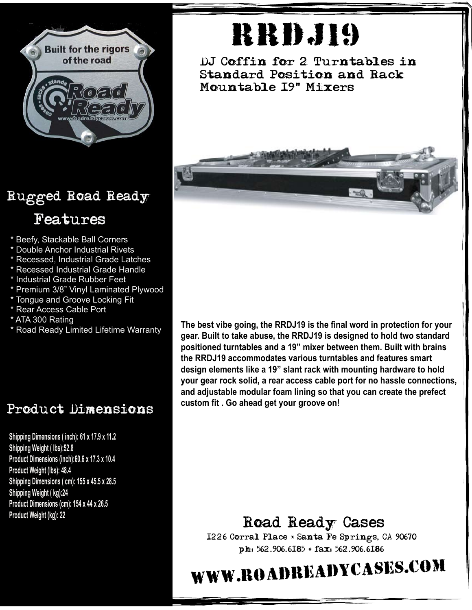

### Rugged Road Ready

### Features

- \* Beefy, Stackable Ball Corners
- \* Double Anchor Industrial Rivets
- \* Recessed, Industrial Grade Latches
- \* Recessed Industrial Grade Handle
- \* Industrial Grade Rubber Feet
- \* Premium 3/8" Vinyl Laminated Plywood
- \* Tongue and Groove Locking Fit
- \* Rear Access Cable Port
- \* ATA 300 Rating
- \* Road Ready Limited Lifetime Warranty

### Product Dimensions

**Shipping Dimensions ( inch): 61 x 17.9 x 11.2 Shipping Weight ( lbs):52.8 Product Dimensions (inch):60.6 x 17.3 x 10.4 Product Weight (lbs): 48.4 Shipping Dimensions ( cm): 155 x 45.5 x 28.5 Shipping Weight ( kg):24 Product Dimensions (cm): 154 x 44 x 26.5 Product Weight (kg): 22**

# **RRD**.J19

DJ Coffin for 2 Turntables in Standard Position and Rack Mountable 19" Mixers



**The best vibe going, the RRDJ19 is the final word in protection for your gear. Built to take abuse, the RRDJ19 is designed to hold two standard positioned turntables and a 19" mixer between them. Built with brains the RRDJ19 accommodates various turntables and features smart design elements like a 19" slant rack with mounting hardware to hold your gear rock solid, a rear access cable port for no hassle connections, and adjustable modular foam lining so that you can create the prefect custom fit . Go ahead get your groove on!**

### Road Ready Cases

1226 Corral Place \* Santa Fe Springs, CA 90670 ph: 562.906.6185 \* fax: 562.906.6186

## www.roadreadycases.com